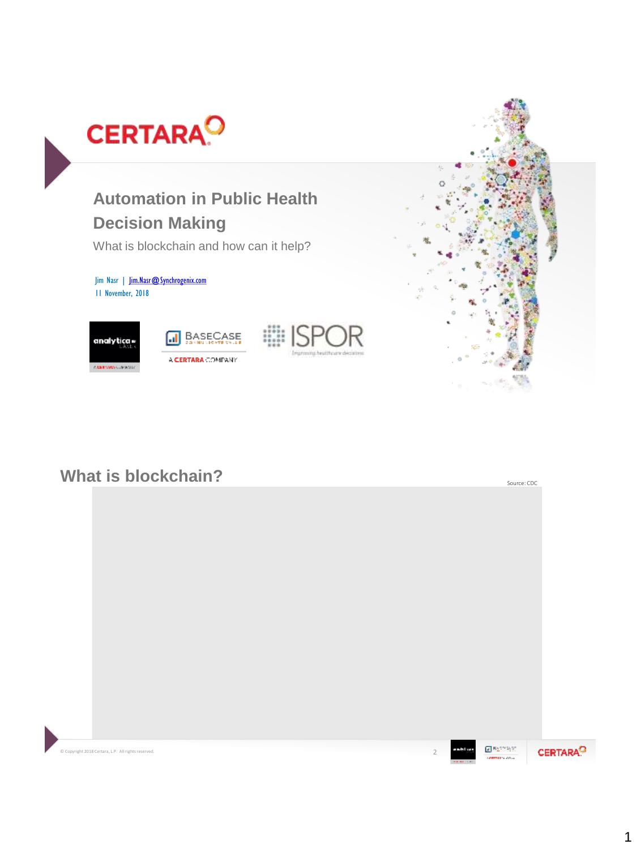

# **What is blockchain?** Source: CDC

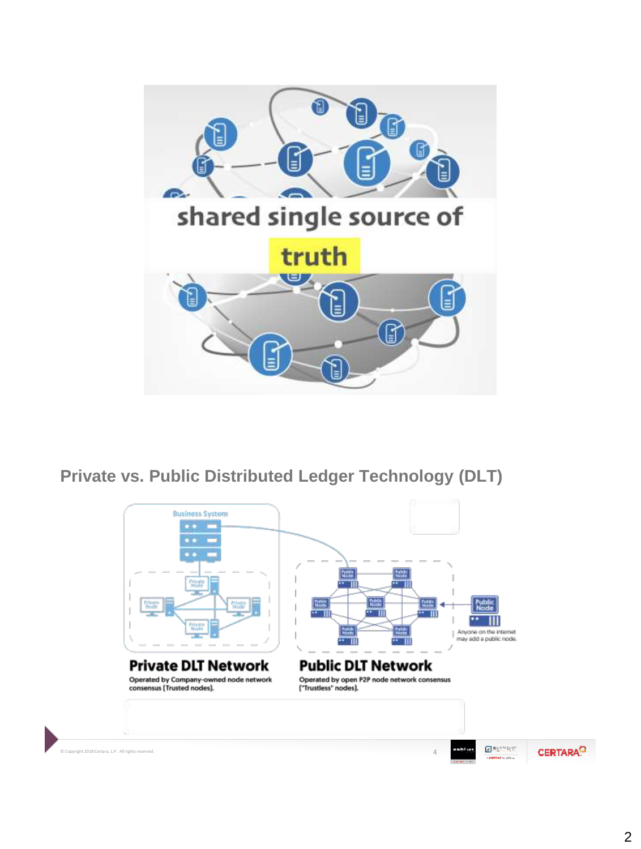

**Private vs. Public Distributed Ledger Technology (DLT)**

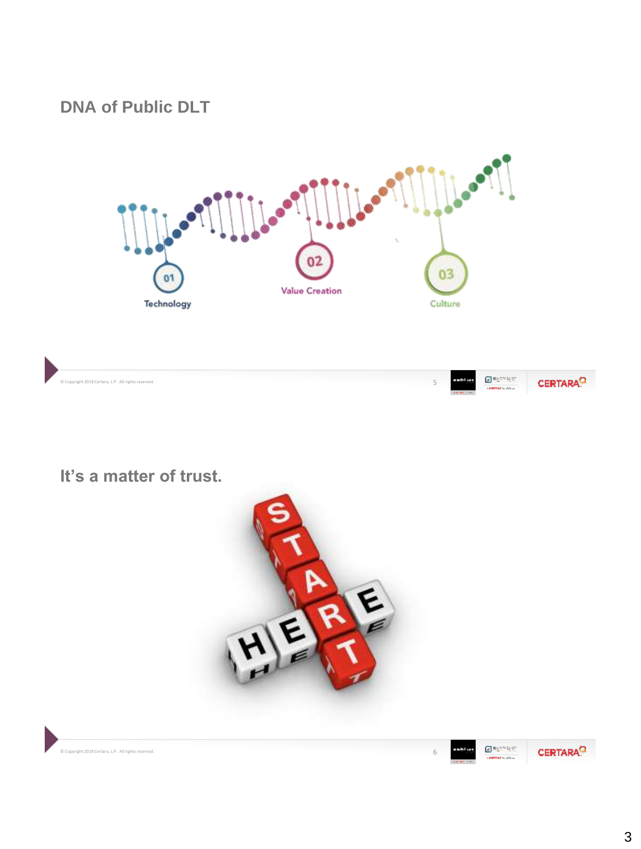## **DNA of Public DLT**



**It's a matter of trust.**

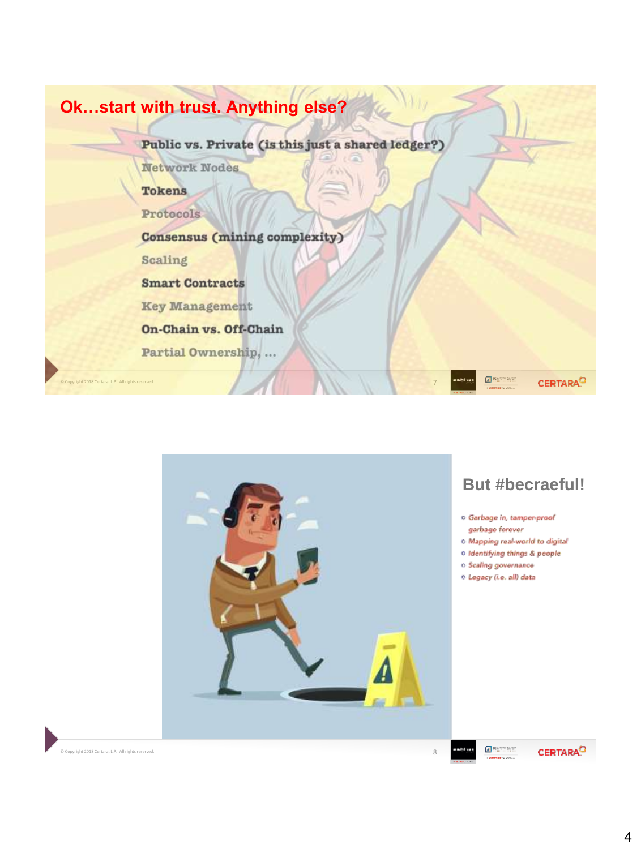



#### **But #becraeful!**

- o Garbage in, tamper-proof garbage forever
- o Mapping real-world to digital
- o Identifying things & people
- o Scaling governance
- o Legacy (i.e. all) data

2018 Certara, L.P. All rights reserved.



 $\mathbb{Z}$  Rammar **CERTARA<sup>Q</sup>** 

4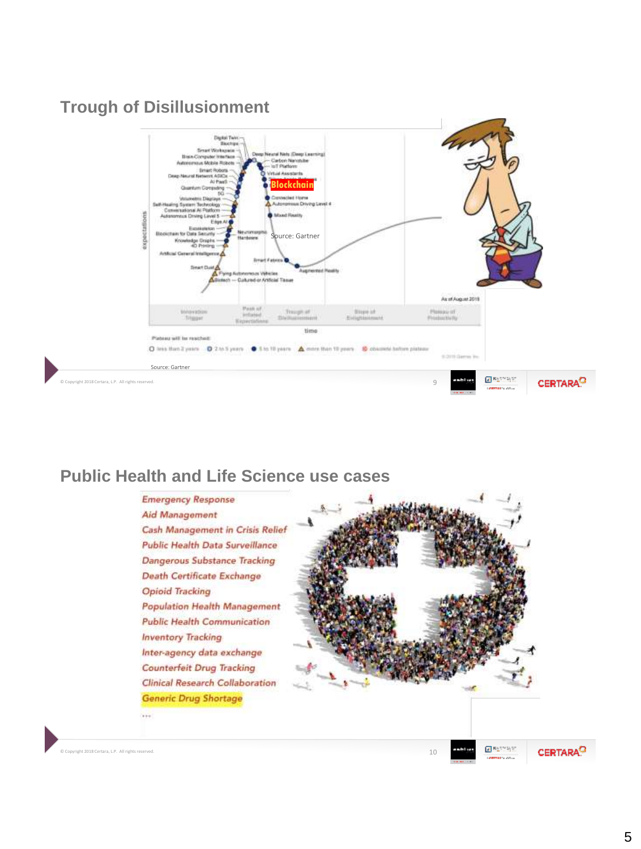#### **Trough of Disillusionment**



## **Public Health and Life Science use cases**



 $\frac{1}{2}$ th 2018 Certara, L.P. All rights reserved.  $10$ 

**Z** Barream **CERTARA<sup>Q</sup>**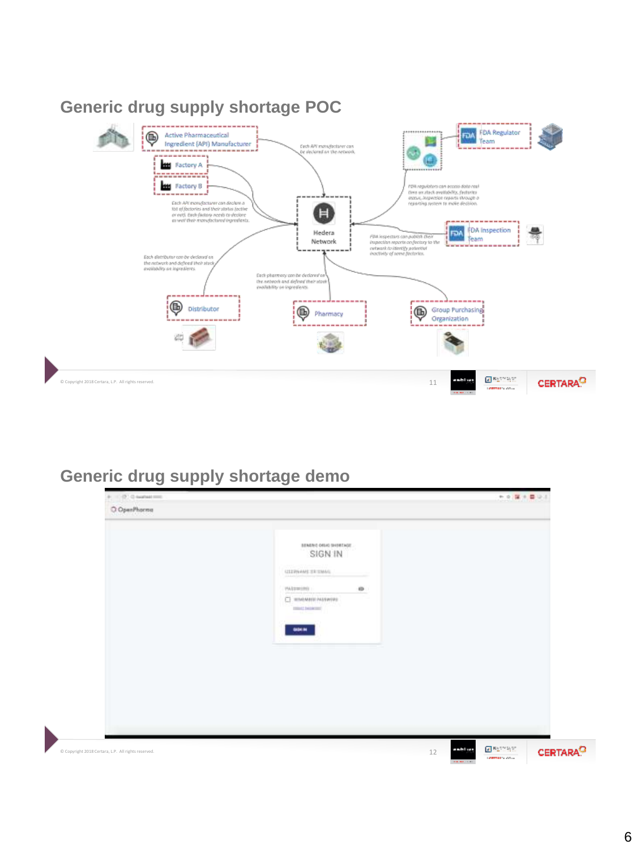

# **Generic drug supply shortage demo**

| SENDING ORDER SHERTAGE.<br>SIGN IN<br>USERVANE ER SMAG<br><b>STARR</b>                             |  |
|----------------------------------------------------------------------------------------------------|--|
| $\circ$<br>PASSWORN<br>$\Box$ Interests instances<br><b>THE REAL PROPERTY</b><br><b>CONTRACTOR</b> |  |
| -                                                                                                  |  |
|                                                                                                    |  |